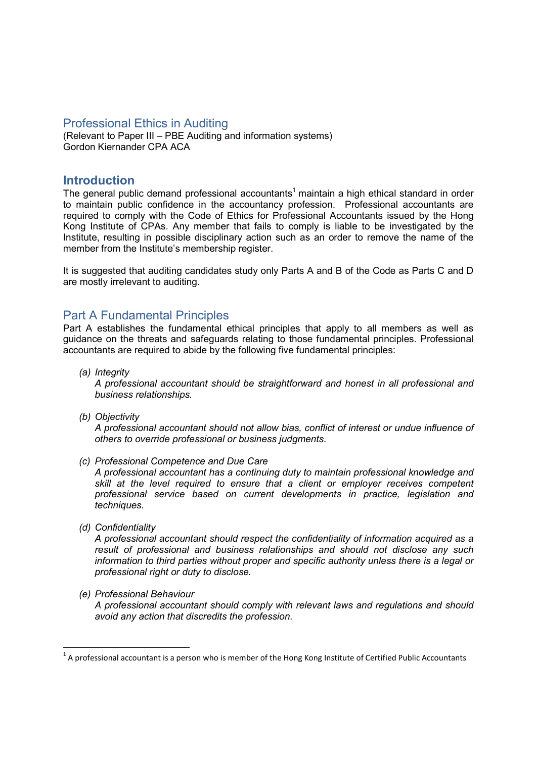### Professional Ethics in Auditing

(Relevant to Paper III – PBE Auditing and information systems) Gordon Kiernander CPA ACA

### **Introduction**

The general public demand professional accountants<sup>1</sup> maintain a high ethical standard in order to maintain public confidence in the accountancy profession. Professional accountants are required to comply with the Code of Ethics for Professional Accountants issued by the Hong Kong Institute of CPAs. Any member that fails to comply is liable to be investigated by the Institute, resulting in possible disciplinary action such as an order to remove the name of the member from the Institute's membership register.

It is suggested that auditing candidates study only Parts A and B of the Code as Parts C and D are mostly irrelevant to auditing.

# Part A Fundamental Principles

Part A establishes the fundamental ethical principles that apply to all members as well as guidance on the threats and safeguards relating to those fundamental principles. Professional accountants are required to abide by the following five fundamental principles:

(a) Integrity

A professional accountant should be straightforward and honest in all professional and business relationships.

(b) Objectivity

A professional accountant should not allow bias, conflict of interest or undue influence of others to override professional or business judgments.

(c) Professional Competence and Due Care

A professional accountant has a continuing duty to maintain professional knowledge and skill at the level required to ensure that a client or employer receives competent professional service based on current developments in practice, legislation and techniques.

(d) Confidentiality

<u>.</u>

A professional accountant should respect the confidentiality of information acquired as a result of professional and business relationships and should not disclose any such information to third parties without proper and specific authority unless there is a legal or professional right or duty to disclose.

(e) Professional Behaviour

A professional accountant should comply with relevant laws and regulations and should avoid any action that discredits the profession.

 $1$  A professional accountant is a person who is member of the Hong Kong Institute of Certified Public Accountants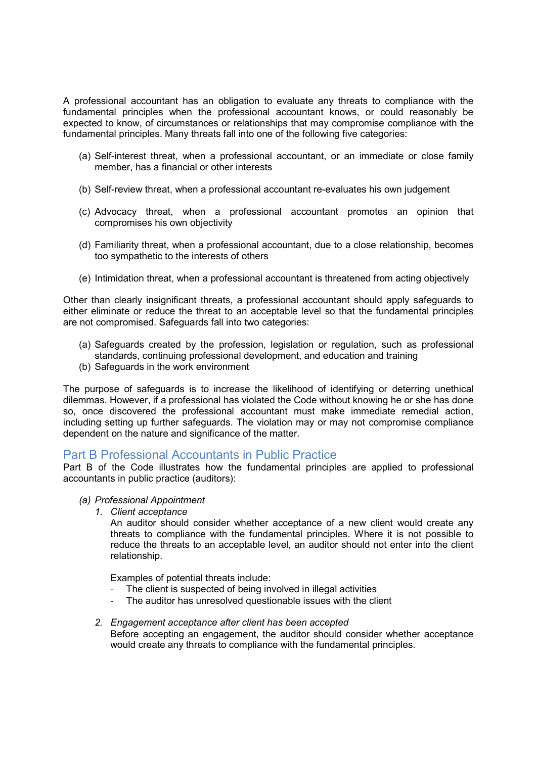A professional accountant has an obligation to evaluate any threats to compliance with the fundamental principles when the professional accountant knows, or could reasonably be expected to know, of circumstances or relationships that may compromise compliance with the fundamental principles. Many threats fall into one of the following five categories:

- (a) Self-interest threat, when a professional accountant, or an immediate or close family member, has a financial or other interests
- (b) Self-review threat, when a professional accountant re-evaluates his own judgement
- (c) Advocacy threat, when a professional accountant promotes an opinion that compromises his own objectivity
- (d) Familiarity threat, when a professional accountant, due to a close relationship, becomes too sympathetic to the interests of others
- (e) Intimidation threat, when a professional accountant is threatened from acting objectively

Other than clearly insignificant threats, a professional accountant should apply safeguards to either eliminate or reduce the threat to an acceptable level so that the fundamental principles are not compromised. Safeguards fall into two categories:

- (a) Safeguards created by the profession, legislation or regulation, such as professional standards, continuing professional development, and education and training
- (b) Safeguards in the work environment

The purpose of safeguards is to increase the likelihood of identifying or deterring unethical dilemmas. However, if a professional has violated the Code without knowing he or she has done so, once discovered the professional accountant must make immediate remedial action, including setting up further safeguards. The violation may or may not compromise compliance dependent on the nature and significance of the matter.

## Part B Professional Accountants in Public Practice

Part B of the Code illustrates how the fundamental principles are applied to professional accountants in public practice (auditors):

#### (a) Professional Appointment

1. Client acceptance

An auditor should consider whether acceptance of a new client would create any threats to compliance with the fundamental principles. Where it is not possible to reduce the threats to an acceptable level, an auditor should not enter into the client relationship.

Examples of potential threats include:

- The client is suspected of being involved in illegal activities
- The auditor has unresolved questionable issues with the client
- 2. Engagement acceptance after client has been accepted Before accepting an engagement, the auditor should consider whether acceptance would create any threats to compliance with the fundamental principles.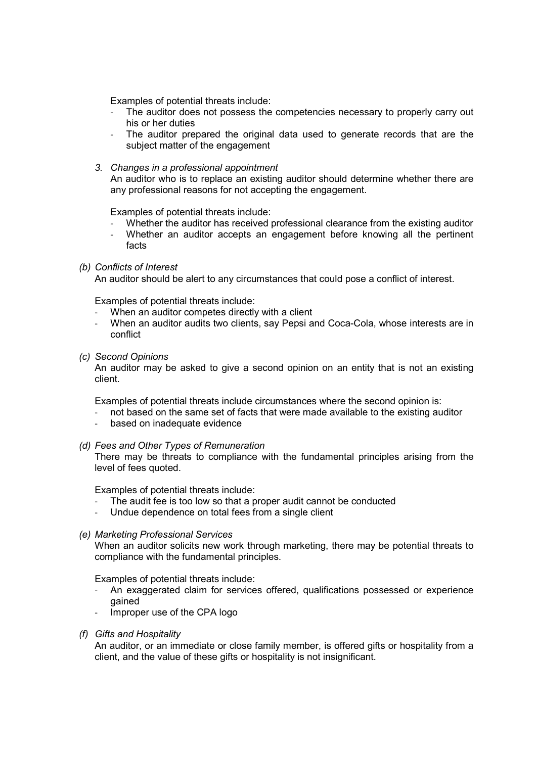Examples of potential threats include:

- The auditor does not possess the competencies necessary to properly carry out his or her duties
- The auditor prepared the original data used to generate records that are the subject matter of the engagement
- 3. Changes in a professional appointment

An auditor who is to replace an existing auditor should determine whether there are any professional reasons for not accepting the engagement.

Examples of potential threats include:

- Whether the auditor has received professional clearance from the existing auditor
- Whether an auditor accepts an engagement before knowing all the pertinent facts
- (b) Conflicts of Interest

An auditor should be alert to any circumstances that could pose a conflict of interest.

Examples of potential threats include:

- When an auditor competes directly with a client
- When an auditor audits two clients, say Pepsi and Coca-Cola, whose interests are in conflict
- (c) Second Opinions

An auditor may be asked to give a second opinion on an entity that is not an existing client.

Examples of potential threats include circumstances where the second opinion is:

- not based on the same set of facts that were made available to the existing auditor
- based on inadequate evidence
- (d) Fees and Other Types of Remuneration

There may be threats to compliance with the fundamental principles arising from the level of fees quoted.

Examples of potential threats include:

- The audit fee is too low so that a proper audit cannot be conducted
- Undue dependence on total fees from a single client
- (e) Marketing Professional Services

When an auditor solicits new work through marketing, there may be potential threats to compliance with the fundamental principles.

Examples of potential threats include:

- An exaggerated claim for services offered, qualifications possessed or experience gained
- Improper use of the CPA logo
- (f) Gifts and Hospitality

An auditor, or an immediate or close family member, is offered gifts or hospitality from a client, and the value of these gifts or hospitality is not insignificant.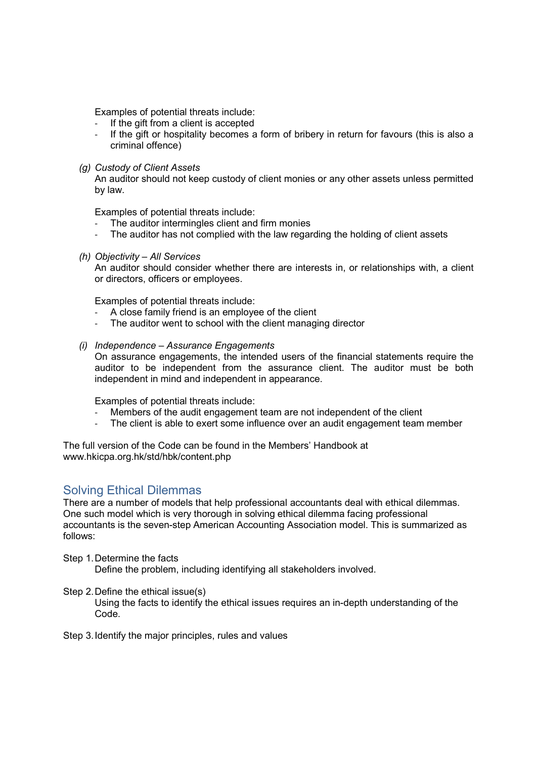Examples of potential threats include:

- If the gift from a client is accepted
- If the gift or hospitality becomes a form of bribery in return for favours (this is also a criminal offence)
- (g) Custody of Client Assets

An auditor should not keep custody of client monies or any other assets unless permitted by law.

Examples of potential threats include:

- The auditor intermingles client and firm monies
- The auditor has not complied with the law regarding the holding of client assets
- (h) Objectivity All Services

An auditor should consider whether there are interests in, or relationships with, a client or directors, officers or employees.

Examples of potential threats include:

- A close family friend is an employee of the client
- The auditor went to school with the client managing director
- (i) Independence Assurance Engagements

On assurance engagements, the intended users of the financial statements require the auditor to be independent from the assurance client. The auditor must be both independent in mind and independent in appearance.

Examples of potential threats include:

- Members of the audit engagement team are not independent of the client
- The client is able to exert some influence over an audit engagement team member

The full version of the Code can be found in the Members' Handbook at www.hkicpa.org.hk/std/hbk/content.php

## Solving Ethical Dilemmas

There are a number of models that help professional accountants deal with ethical dilemmas. One such model which is very thorough in solving ethical dilemma facing professional accountants is the seven-step American Accounting Association model. This is summarized as follows:

Step 1. Determine the facts

Define the problem, including identifying all stakeholders involved.

#### Step 2. Define the ethical issue(s)

 Using the facts to identify the ethical issues requires an in-depth understanding of the Code.

Step 3. Identify the major principles, rules and values